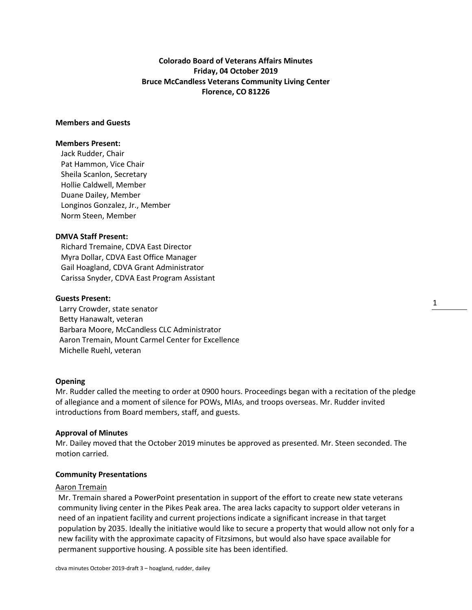**Colorado Board of Veterans Affairs Minutes Friday, 04 October 2019 Bruce McCandless Veterans Community Living Center Florence, CO 81226**

# **Members and Guests**

### **Members Present:**

Jack Rudder, Chair Pat Hammon, Vice Chair Sheila Scanlon, Secretary Hollie Caldwell, Member Duane Dailey, Member Longinos Gonzalez, Jr., Member Norm Steen, Member

## **DMVA Staff Present:**

Richard Tremaine, CDVA East Director Myra Dollar, CDVA East Office Manager Gail Hoagland, CDVA Grant Administrator Carissa Snyder, CDVA East Program Assistant

### **Guests Present:**

 Larry Crowder, state senator Betty Hanawalt, veteran Barbara Moore, McCandless CLC Administrator Aaron Tremain, Mount Carmel Center for Excellence Michelle Ruehl, veteran

### **Opening**

Mr. Rudder called the meeting to order at 0900 hours. Proceedings began with a recitation of the pledge of allegiance and a moment of silence for POWs, MIAs, and troops overseas. Mr. Rudder invited introductions from Board members, staff, and guests.

### **Approval of Minutes**

Mr. Dailey moved that the October 2019 minutes be approved as presented. Mr. Steen seconded. The motion carried.

### **Community Presentations**

### Aaron Tremain

Mr. Tremain shared a PowerPoint presentation in support of the effort to create new state veterans community living center in the Pikes Peak area. The area lacks capacity to support older veterans in need of an inpatient facility and current projections indicate a significant increase in that target population by 2035. Ideally the initiative would like to secure a property that would allow not only for a new facility with the approximate capacity of Fitzsimons, but would also have space available for permanent supportive housing. A possible site has been identified.

1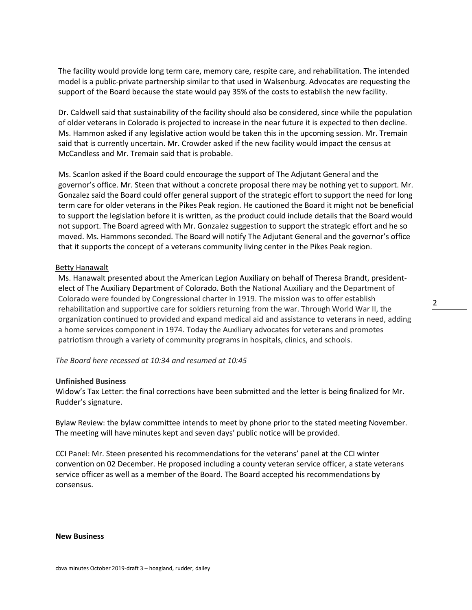The facility would provide long term care, memory care, respite care, and rehabilitation. The intended model is a public-private partnership similar to that used in Walsenburg. Advocates are requesting the support of the Board because the state would pay 35% of the costs to establish the new facility.

Dr. Caldwell said that sustainability of the facility should also be considered, since while the population of older veterans in Colorado is projected to increase in the near future it is expected to then decline. Ms. Hammon asked if any legislative action would be taken this in the upcoming session. Mr. Tremain said that is currently uncertain. Mr. Crowder asked if the new facility would impact the census at McCandless and Mr. Tremain said that is probable.

Ms. Scanlon asked if the Board could encourage the support of The Adjutant General and the governor's office. Mr. Steen that without a concrete proposal there may be nothing yet to support. Mr. Gonzalez said the Board could offer general support of the strategic effort to support the need for long term care for older veterans in the Pikes Peak region. He cautioned the Board it might not be beneficial to support the legislation before it is written, as the product could include details that the Board would not support. The Board agreed with Mr. Gonzalez suggestion to support the strategic effort and he so moved. Ms. Hammons seconded. The Board will notify The Adjutant General and the governor's office that it supports the concept of a veterans community living center in the Pikes Peak region.

### Betty Hanawalt

Ms. Hanawalt presented about the American Legion Auxiliary on behalf of Theresa Brandt, presidentelect of The Auxiliary Department of Colorado. Both the National Auxiliary and the Department of Colorado were founded by Congressional charter in 1919. The mission was to offer establish rehabilitation and supportive care for soldiers returning from the war. Through World War II, the organization continued to provided and expand medical aid and assistance to veterans in need, adding a home services component in 1974. Today the Auxiliary advocates for veterans and promotes patriotism through a variety of community programs in hospitals, clinics, and schools.

### *The Board here recessed at 10:34 and resumed at 10:45*

### **Unfinished Business**

Widow's Tax Letter: the final corrections have been submitted and the letter is being finalized for Mr. Rudder's signature.

Bylaw Review: the bylaw committee intends to meet by phone prior to the stated meeting November. The meeting will have minutes kept and seven days' public notice will be provided.

CCI Panel: Mr. Steen presented his recommendations for the veterans' panel at the CCI winter convention on 02 December. He proposed including a county veteran service officer, a state veterans service officer as well as a member of the Board. The Board accepted his recommendations by consensus.

#### **New Business**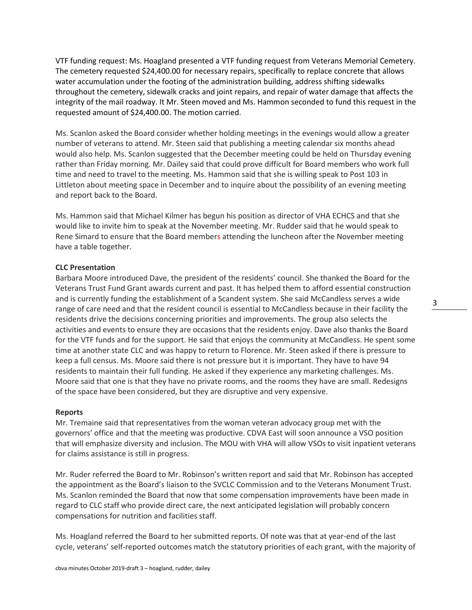VTF funding request: Ms. Hoagland presented a VTF funding request from Veterans Memorial Cemetery. The cemetery requested \$24,400.00 for necessary repairs, specifically to replace concrete that allows water accumulation under the footing of the administration building, address shifting sidewalks throughout the cemetery, sidewalk cracks and joint repairs, and repair of water damage that affects the integrity of the mail roadway. It Mr. Steen moved and Ms. Hammon seconded to fund this request in the requested amount of \$24,400.00. The motion carried.

Ms. Scanlon asked the Board consider whether holding meetings in the evenings would allow a greater number of veterans to attend. Mr. Steen said that publishing a meeting calendar six months ahead would also help. Ms. Scanlon suggested that the December meeting could be held on Thursday evening rather than Friday morning. Mr. Dailey said that could prove difficult for Board members who work full time and need to travel to the meeting. Ms. Hammon said that she is willing speak to Post 103 in Littleton about meeting space in December and to inquire about the possibility of an evening meeting and report back to the Board.

Ms. Hammon said that Michael Kilmer has begun his position as director of VHA ECHCS and that she would like to invite him to speak at the November meeting. Mr. Rudder said that he would speak to Rene Simard to ensure that the Board members attending the luncheon after the November meeting have a table together.

## **CLC Presentation**

Barbara Moore introduced Dave, the president of the residents' council. She thanked the Board for the Veterans Trust Fund Grant awards current and past. It has helped them to afford essential construction and is currently funding the establishment of a Scandent system. She said McCandless serves a wide range of care need and that the resident council is essential to McCandless because in their facility the residents drive the decisions concerning priorities and improvements. The group also selects the activities and events to ensure they are occasions that the residents enjoy. Dave also thanks the Board for the VTF funds and for the support. He said that enjoys the community at McCandless. He spent some time at another state CLC and was happy to return to Florence. Mr. Steen asked if there is pressure to keep a full census. Ms. Moore said there is not pressure but it is important. They have to have 94 residents to maintain their full funding. He asked if they experience any marketing challenges. Ms. Moore said that one is that they have no private rooms, and the rooms they have are small. Redesigns of the space have been considered, but they are disruptive and very expensive.

### **Reports**

Mr. Tremaine said that representatives from the woman veteran advocacy group met with the governors' office and that the meeting was productive. CDVA East will soon announce a VSO position that will emphasize diversity and inclusion. The MOU with VHA will allow VSOs to visit inpatient veterans for claims assistance is still in progress.

Mr. Ruder referred the Board to Mr. Robinson's written report and said that Mr. Robinson has accepted the appointment as the Board's liaison to the SVCLC Commission and to the Veterans Monument Trust. Ms. Scanlon reminded the Board that now that some compensation improvements have been made in regard to CLC staff who provide direct care, the next anticipated legislation will probably concern compensations for nutrition and facilities staff.

Ms. Hoagland referred the Board to her submitted reports. Of note was that at year-end of the last cycle, veterans' self-reported outcomes match the statutory priorities of each grant, with the majority of